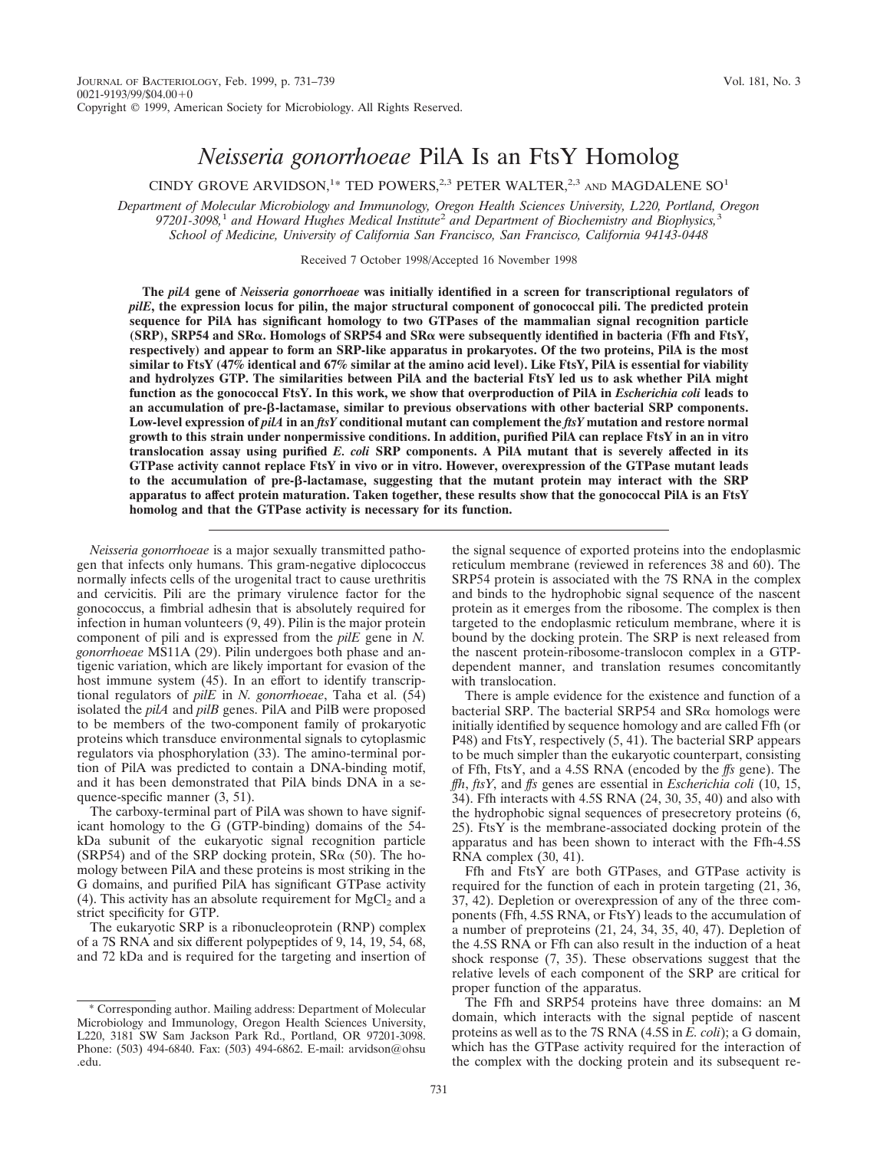# *Neisseria gonorrhoeae* PilA Is an FtsY Homolog

CINDY GROVE ARVIDSON,<sup>1\*</sup> TED POWERS,<sup>2,3</sup> PETER WALTER,<sup>2,3</sup> AND MAGDALENE SO<sup>1</sup>

*Department of Molecular Microbiology and Immunology, Oregon Health Sciences University, L220, Portland, Oregon 97201-3098,*<sup>1</sup> *and Howard Hughes Medical Institute*<sup>2</sup> *and Department of Biochemistry and Biophysics,*<sup>3</sup> *School of Medicine, University of California San Francisco, San Francisco, California 94143-0448*

Received 7 October 1998/Accepted 16 November 1998

**The** *pilA* **gene of** *Neisseria gonorrhoeae* **was initially identified in a screen for transcriptional regulators of** *pilE***, the expression locus for pilin, the major structural component of gonococcal pili. The predicted protein sequence for PilA has significant homology to two GTPases of the mammalian signal recognition particle (SRP), SRP54 and SR**a**. Homologs of SRP54 and SR**a **were subsequently identified in bacteria (Ffh and FtsY, respectively) and appear to form an SRP-like apparatus in prokaryotes. Of the two proteins, PilA is the most similar to FtsY (47% identical and 67% similar at the amino acid level). Like FtsY, PilA is essential for viability and hydrolyzes GTP. The similarities between PilA and the bacterial FtsY led us to ask whether PilA might function as the gonococcal FtsY. In this work, we show that overproduction of PilA in** *Escherichia coli* **leads to an accumulation of pre-**b**-lactamase, similar to previous observations with other bacterial SRP components. Low-level expression of** *pilA* **in an** *ftsY* **conditional mutant can complement the** *ftsY* **mutation and restore normal growth to this strain under nonpermissive conditions. In addition, purified PilA can replace FtsY in an in vitro translocation assay using purified** *E. coli* **SRP components. A PilA mutant that is severely affected in its GTPase activity cannot replace FtsY in vivo or in vitro. However, overexpression of the GTPase mutant leads to the accumulation of pre-**b**-lactamase, suggesting that the mutant protein may interact with the SRP apparatus to affect protein maturation. Taken together, these results show that the gonococcal PilA is an FtsY homolog and that the GTPase activity is necessary for its function.**

*Neisseria gonorrhoeae* is a major sexually transmitted pathogen that infects only humans. This gram-negative diplococcus normally infects cells of the urogenital tract to cause urethritis and cervicitis. Pili are the primary virulence factor for the gonococcus, a fimbrial adhesin that is absolutely required for infection in human volunteers (9, 49). Pilin is the major protein component of pili and is expressed from the *pilE* gene in *N. gonorrhoeae* MS11A (29). Pilin undergoes both phase and antigenic variation, which are likely important for evasion of the host immune system (45). In an effort to identify transcriptional regulators of *pilE* in *N. gonorrhoeae*, Taha et al. (54) isolated the *pilA* and *pilB* genes. PilA and PilB were proposed to be members of the two-component family of prokaryotic proteins which transduce environmental signals to cytoplasmic regulators via phosphorylation (33). The amino-terminal portion of PilA was predicted to contain a DNA-binding motif, and it has been demonstrated that PilA binds DNA in a sequence-specific manner (3, 51).

The carboxy-terminal part of PilA was shown to have significant homology to the G (GTP-binding) domains of the 54 kDa subunit of the eukaryotic signal recognition particle (SRP54) and of the SRP docking protein,  $S R \alpha$  (50). The homology between PilA and these proteins is most striking in the G domains, and purified PilA has significant GTPase activity (4). This activity has an absolute requirement for  $MgCl<sub>2</sub>$  and a strict specificity for GTP.

The eukaryotic SRP is a ribonucleoprotein (RNP) complex of a 7S RNA and six different polypeptides of 9, 14, 19, 54, 68, and 72 kDa and is required for the targeting and insertion of the signal sequence of exported proteins into the endoplasmic reticulum membrane (reviewed in references 38 and 60). The SRP54 protein is associated with the 7S RNA in the complex and binds to the hydrophobic signal sequence of the nascent protein as it emerges from the ribosome. The complex is then targeted to the endoplasmic reticulum membrane, where it is bound by the docking protein. The SRP is next released from the nascent protein-ribosome-translocon complex in a GTPdependent manner, and translation resumes concomitantly with translocation.

There is ample evidence for the existence and function of a bacterial SRP. The bacterial SRP54 and  $S$ R $\alpha$  homologs were initially identified by sequence homology and are called Ffh (or P48) and FtsY, respectively (5, 41). The bacterial SRP appears to be much simpler than the eukaryotic counterpart, consisting of Ffh, FtsY, and a 4.5S RNA (encoded by the *ffs* gene). The *ffh*, *ftsY*, and *ffs* genes are essential in *Escherichia coli* (10, 15, 34). Ffh interacts with 4.5S RNA (24, 30, 35, 40) and also with the hydrophobic signal sequences of presecretory proteins (6, 25). FtsY is the membrane-associated docking protein of the apparatus and has been shown to interact with the Ffh-4.5S RNA complex (30, 41).

Ffh and FtsY are both GTPases, and GTPase activity is required for the function of each in protein targeting (21, 36, 37, 42). Depletion or overexpression of any of the three components (Ffh, 4.5S RNA, or FtsY) leads to the accumulation of a number of preproteins (21, 24, 34, 35, 40, 47). Depletion of the 4.5S RNA or Ffh can also result in the induction of a heat shock response (7, 35). These observations suggest that the relative levels of each component of the SRP are critical for proper function of the apparatus.

The Ffh and SRP54 proteins have three domains: an M domain, which interacts with the signal peptide of nascent proteins as well as to the 7S RNA (4.5S in *E. coli*); a G domain, which has the GTPase activity required for the interaction of the complex with the docking protein and its subsequent re-

<sup>\*</sup> Corresponding author. Mailing address: Department of Molecular Microbiology and Immunology, Oregon Health Sciences University, L220, 3181 SW Sam Jackson Park Rd., Portland, OR 97201-3098. Phone: (503) 494-6840. Fax: (503) 494-6862. E-mail: arvidson@ohsu .edu.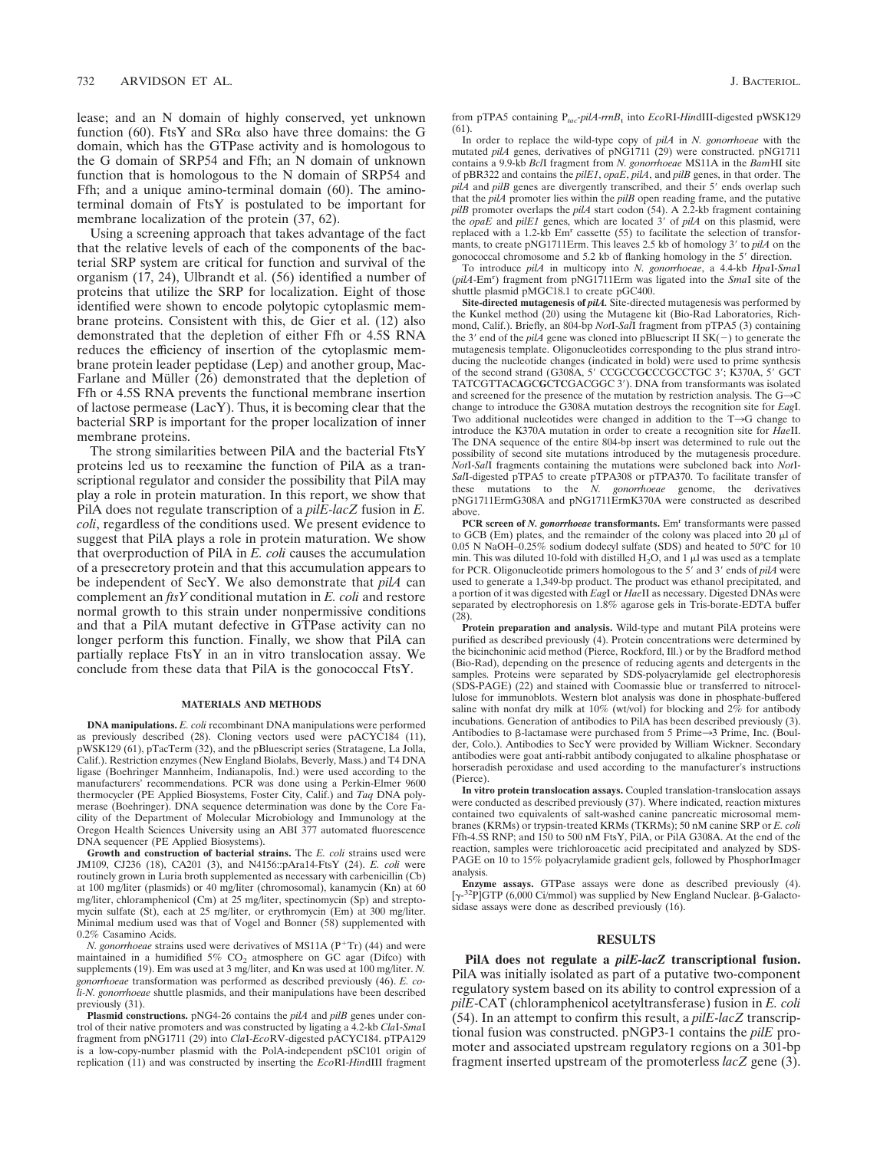lease; and an N domain of highly conserved, yet unknown function (60). FtsY and  $SR\alpha$  also have three domains: the G domain, which has the GTPase activity and is homologous to the G domain of SRP54 and Ffh; an N domain of unknown function that is homologous to the N domain of SRP54 and Ffh; and a unique amino-terminal domain (60). The aminoterminal domain of FtsY is postulated to be important for membrane localization of the protein (37, 62).

Using a screening approach that takes advantage of the fact that the relative levels of each of the components of the bacterial SRP system are critical for function and survival of the organism (17, 24), Ulbrandt et al. (56) identified a number of proteins that utilize the SRP for localization. Eight of those identified were shown to encode polytopic cytoplasmic membrane proteins. Consistent with this, de Gier et al. (12) also demonstrated that the depletion of either Ffh or 4.5S RNA reduces the efficiency of insertion of the cytoplasmic membrane protein leader peptidase (Lep) and another group, Mac-Farlane and Müller (26) demonstrated that the depletion of Ffh or 4.5S RNA prevents the functional membrane insertion of lactose permease (LacY). Thus, it is becoming clear that the bacterial SRP is important for the proper localization of inner membrane proteins.

The strong similarities between PilA and the bacterial FtsY proteins led us to reexamine the function of PilA as a transcriptional regulator and consider the possibility that PilA may play a role in protein maturation. In this report, we show that PilA does not regulate transcription of a *pilE-lacZ* fusion in *E. coli*, regardless of the conditions used. We present evidence to suggest that PilA plays a role in protein maturation. We show that overproduction of PilA in *E. coli* causes the accumulation of a presecretory protein and that this accumulation appears to be independent of SecY. We also demonstrate that *pilA* can complement an *ftsY* conditional mutation in *E. coli* and restore normal growth to this strain under nonpermissive conditions and that a PilA mutant defective in GTPase activity can no longer perform this function. Finally, we show that PilA can partially replace FtsY in an in vitro translocation assay. We conclude from these data that PilA is the gonococcal FtsY.

#### **MATERIALS AND METHODS**

**DNA manipulations.** *E. coli* recombinant DNA manipulations were performed as previously described (28). Cloning vectors used were pACYC184 (11), pWSK129 (61), pTacTerm (32), and the pBluescript series (Stratagene, La Jolla, Calif.). Restriction enzymes (New England Biolabs, Beverly, Mass.) and T4 DNA ligase (Boehringer Mannheim, Indianapolis, Ind.) were used according to the manufacturers' recommendations. PCR was done using a Perkin-Elmer 9600 thermocycler (PE Applied Biosystems, Foster City, Calif.) and *Taq* DNA polymerase (Boehringer). DNA sequence determination was done by the Core Facility of the Department of Molecular Microbiology and Immunology at the Oregon Health Sciences University using an ABI 377 automated fluorescence DNA sequencer (PE Applied Biosystems).

**Growth and construction of bacterial strains.** The *E. coli* strains used were JM109, CJ236 (18), CA201 (3), and N4156::pAra14-FtsY (24). *E. coli* were routinely grown in Luria broth supplemented as necessary with carbenicillin (Cb) at 100 mg/liter (plasmids) or 40 mg/liter (chromosomal), kanamycin (Kn) at 60 mg/liter, chloramphenicol (Cm) at 25 mg/liter, spectinomycin (Sp) and streptomycin sulfate (St), each at 25 mg/liter, or erythromycin (Em) at 300 mg/liter. Minimal medium used was that of Vogel and Bonner (58) supplemented with 0.2% Casamino Acids.

*N. gonorrhoeae* strains used were derivatives of MS11A (P<sup>+</sup>Tr) (44) and were maintained in a humidified  $5\%$  CO<sub>2</sub> atmosphere on GC agar (Difco) with supplements (19). Em was used at 3 mg/liter, and Kn was used at 100 mg/liter. *N. gonorrhoeae* transformation was performed as described previously (46). *E. coli-N. gonorrhoeae* shuttle plasmids, and their manipulations have been described previously (31).

**Plasmid constructions.** pNG4-26 contains the *pilA* and *pilB* genes under control of their native promoters and was constructed by ligating a 4.2-kb *Cla*I-*Sma*I fragment from pNG1711 (29) into *Cla*I-*Eco*RV-digested pACYC184. pTPA129 is a low-copy-number plasmid with the PolA-independent pSC101 origin of replication (11) and was constructed by inserting the *Eco*RI-*Hin*dIII fragment

from pTPA5 containing P*tac-pilA-rrnB*<sup>t</sup> into *Eco*RI-*Hin*dIII-digested pWSK129 (61).

In order to replace the wild-type copy of *pilA* in *N. gonorrhoeae* with the mutated *pilA* genes, derivatives of pNG1711 (29) were constructed. pNG1711 contains a 9.9-kb *Bcl*I fragment from *N. gonorrhoeae* MS11A in the *Bam*HI site of pBR322 and contains the *pilE1*, *opaE*, *pilA*, and *pilB* genes, in that order. The  $pi\AA$  and  $pi\BB$  genes are divergently transcribed, and their 5' ends overlap such that the *pilA* promoter lies within the *pilB* open reading frame, and the putative *pilB* promoter overlaps the *pilA* start codon (54). A 2.2-kb fragment containing the  $opaE$  and  $pilE1$  genes, which are located  $3'$  of  $pilA$  on this plasmid, were replaced with a 1.2-kb  $Em<sup>r</sup>$  cassette (55) to facilitate the selection of transformants, to create pNG1711Erm. This leaves 2.5 kb of homology 3' to *pilA* on the gonococcal chromosome and 5.2 kb of flanking homology in the 5 $'$  direction.

To introduce *pilA* in multicopy into *N. gonorrhoeae*, a 4.4-kb *Hpa*I-*Sma*I (*pilA*-Em<sup>r</sup> ) fragment from pNG1711Erm was ligated into the *Sma*I site of the shuttle plasmid pMGC18.1 to create pGC400.

**Site-directed mutagenesis of** *pilA.* Site-directed mutagenesis was performed by the Kunkel method (20) using the Mutagene kit (Bio-Rad Laboratories, Richmond, Calif.). Briefly, an 804-bp *Not*I-*Sal*I fragment from pTPA5 (3) containing the 3' end of the  $p$ ilA gene was cloned into pBluescript II SK( $-$ ) to generate the mutagenesis template. Oligonucleotides corresponding to the plus strand introducing the nucleotide changes (indicated in bold) were used to prime synthesis<br>of the second strand (G308A, 5' CCGCCGCCCGCCTGC 3'; K370A, 5' GCT TATCGTTACAGCGCTCGACGGC 3'). DNA from transformants was isolated and screened for the presence of the mutation by restriction analysis. The G $\rightarrow$ C change to introduce the G308A mutation destroys the recognition site for *Eag*I. Two additional nucleotides were changed in addition to the  $T\rightarrow G$  change to introduce the K370A mutation in order to create a recognition site for *Hae*II. The DNA sequence of the entire 804-bp insert was determined to rule out the possibility of second site mutations introduced by the mutagenesis procedure. *Not*I-*Sal*I fragments containing the mutations were subcloned back into *Not*I-*Sal*I-digested pTPA5 to create pTPA308 or pTPA370. To facilitate transfer of these mutations to the *N. gonorrhoeae* genome, the derivatives pNG1711ErmG308A and pNG1711ErmK370A were constructed as described above.

**PCR** screen of *N. gonorrhoeae* transformants. Em<sup>r</sup> transformants were passed to GCB (Em) plates, and the remainder of the colony was placed into  $20 \mu l$  of 0.05 N NaOH–0.25% sodium dodecyl sulfate (SDS) and heated to 50°C for 10 min. This was diluted 10-fold with distilled  $H_2O$ , and 1  $\mu$ l was used as a template for PCR. Oligonucleotide primers homologous to the 5' and 3' ends of pilA were used to generate a 1,349-bp product. The product was ethanol precipitated, and a portion of it was digested with *Eag*I or *Hae*II as necessary. Digested DNAs were separated by electrophoresis on 1.8% agarose gels in Tris-borate-EDTA buffer  $(28)$ .

**Protein preparation and analysis.** Wild-type and mutant PilA proteins were purified as described previously (4). Protein concentrations were determined by the bicinchoninic acid method (Pierce, Rockford, Ill.) or by the Bradford method (Bio-Rad), depending on the presence of reducing agents and detergents in the samples. Proteins were separated by SDS-polyacrylamide gel electrophoresis (SDS-PAGE) (22) and stained with Coomassie blue or transferred to nitrocellulose for immunoblots. Western blot analysis was done in phosphate-buffered saline with nonfat dry milk at 10% (wt/vol) for blocking and  $2\%$  for antibody incubations. Generation of antibodies to PilA has been described previously (3). Antibodies to  $\beta$ -lactamase were purchased from 5 Prime $\rightarrow$ 3 Prime, Inc. (Boulder, Colo.). Antibodies to SecY were provided by William Wickner. Secondary antibodies were goat anti-rabbit antibody conjugated to alkaline phosphatase or horseradish peroxidase and used according to the manufacturer's instructions (Pierce).

**In vitro protein translocation assays.** Coupled translation-translocation assays were conducted as described previously (37). Where indicated, reaction mixtures contained two equivalents of salt-washed canine pancreatic microsomal membranes (KRMs) or trypsin-treated KRMs (TKRMs); 50 nM canine SRP or *E. coli* Ffh-4.5S RNP; and 150 to 500 nM FtsY, PilA, or PilA G308A. At the end of the reaction, samples were trichloroacetic acid precipitated and analyzed by SDS-PAGE on 10 to 15% polyacrylamide gradient gels, followed by PhosphorImager analysis.

**Enzyme assays.** GTPase assays were done as described previously (4). [γ-<sup>32</sup>P]GTP (6,000 Ci/mmol) was supplied by New England Nuclear. β-Galactosidase assays were done as described previously (16).

## **RESULTS**

**PilA does not regulate a** *pilE-lacZ* **transcriptional fusion.** PilA was initially isolated as part of a putative two-component regulatory system based on its ability to control expression of a *pilE*-CAT (chloramphenicol acetyltransferase) fusion in *E. coli* (54). In an attempt to confirm this result, a *pilE-lacZ* transcriptional fusion was constructed. pNGP3-1 contains the *pilE* promoter and associated upstream regulatory regions on a 301-bp fragment inserted upstream of the promoterless *lacZ* gene (3).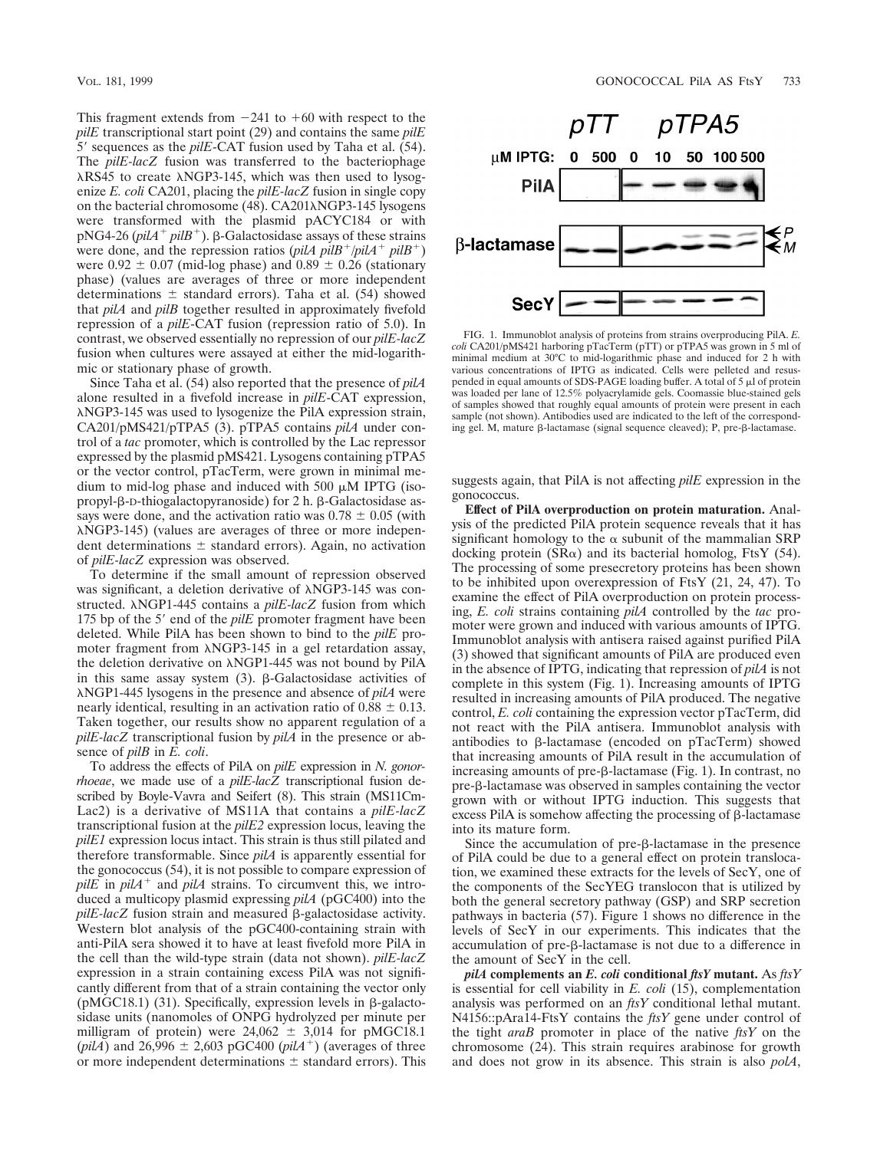This fragment extends from  $-241$  to  $+60$  with respect to the *pilE* transcriptional start point (29) and contains the same *pilE* 5' sequences as the *pilE*-CAT fusion used by Taha et al. (54). The *pilE-lacZ* fusion was transferred to the bacteriophage  $\lambda$ RS45 to create  $\lambda$ NGP3-145, which was then used to lysogenize *E. coli* CA201, placing the *pilE-lacZ* fusion in single copy on the bacterial chromosome  $(48)$ . CA201 $\lambda$ NGP3-145 lysogens were transformed with the plasmid pACYC184 or with pNG4-26 ( $pi/4$ <sup>+</sup>  $pi/B$ <sup>+</sup>).  $\beta$ -Galactosidase assays of these strains were done, and the repression ratios (*pilA pilB<sup>+</sup>*/*pilA<sup>+</sup> pilB<sup>+</sup>*) were  $0.92 \pm 0.07$  (mid-log phase) and  $0.89 \pm 0.26$  (stationary phase) (values are averages of three or more independent determinations  $\pm$  standard errors). Taha et al. (54) showed that *pilA* and *pilB* together resulted in approximately fivefold repression of a *pilE*-CAT fusion (repression ratio of 5.0). In contrast, we observed essentially no repression of our *pilE-lacZ* fusion when cultures were assayed at either the mid-logarithmic or stationary phase of growth.

Since Taha et al. (54) also reported that the presence of *pilA* alone resulted in a fivefold increase in *pilE*-CAT expression, lNGP3-145 was used to lysogenize the PilA expression strain, CA201/pMS421/pTPA5 (3). pTPA5 contains *pilA* under control of a *tac* promoter, which is controlled by the Lac repressor expressed by the plasmid pMS421. Lysogens containing pTPA5 or the vector control, pTacTerm, were grown in minimal medium to mid-log phase and induced with 500  $\mu$ M IPTG (isopropyl- $\beta$ -D-thiogalactopyranoside) for 2 h.  $\beta$ -Galactosidase assays were done, and the activation ratio was  $0.78 \pm 0.05$  (with  $\lambda$ NGP3-145) (values are averages of three or more independent determinations  $\pm$  standard errors). Again, no activation of *pilE-lacZ* expression was observed.

To determine if the small amount of repression observed was significant, a deletion derivative of  $\lambda$ NGP3-145 was constructed.  $\triangle NGP1-445$  contains a *pilE-lacZ* fusion from which 175 bp of the 5' end of the *pilE* promoter fragment have been deleted. While PilA has been shown to bind to the *pilE* promoter fragment from  $\lambda$ NGP3-145 in a gel retardation assay, the deletion derivative on  $\lambda$ NGP1-445 was not bound by PilA in this same assay system  $(3)$ .  $\beta$ -Galactosidase activities of lNGP1-445 lysogens in the presence and absence of *pilA* were nearly identical, resulting in an activation ratio of  $0.88 \pm 0.13$ . Taken together, our results show no apparent regulation of a *pilE-lacZ* transcriptional fusion by *pilA* in the presence or absence of *pilB* in *E. coli*.

To address the effects of PilA on *pilE* expression in *N. gonorrhoeae*, we made use of a *pilE-lacZ* transcriptional fusion described by Boyle-Vavra and Seifert (8). This strain (MS11Cm-Lac2) is a derivative of MS11A that contains a *pilE-lacZ* transcriptional fusion at the *pilE2* expression locus, leaving the *pilE1* expression locus intact. This strain is thus still pilated and therefore transformable. Since *pilA* is apparently essential for the gonococcus (54), it is not possible to compare expression of  $pi/E$  in  $piA^+$  and  $piA$  strains. To circumvent this, we introduced a multicopy plasmid expressing *pilA* (pGC400) into the *pilE-lacZ* fusion strain and measured  $\beta$ -galactosidase activity. Western blot analysis of the pGC400-containing strain with anti-PilA sera showed it to have at least fivefold more PilA in the cell than the wild-type strain (data not shown). *pilE-lacZ* expression in a strain containing excess PilA was not significantly different from that of a strain containing the vector only ( $pMGC18.1$ ) (31). Specifically, expression levels in  $\beta$ -galactosidase units (nanomoles of ONPG hydrolyzed per minute per milligram of protein) were  $24,062 \pm 3,014$  for pMGC18.1 (*pilA*) and 26,996  $\pm$  2,603 pGC400 (*pilA*<sup>+</sup>) (averages of three or more independent determinations  $\pm$  standard errors). This



FIG. 1. Immunoblot analysis of proteins from strains overproducing PilA. *E. coli* CA201/pMS421 harboring pTacTerm (pTT) or pTPA5 was grown in 5 ml of minimal medium at 30°C to mid-logarithmic phase and induced for 2 h with various concentrations of IPTG as indicated. Cells were pelleted and resuspended in equal amounts of SDS-PAGE loading buffer. A total of  $5 \mu$ l of protein was loaded per lane of 12.5% polyacrylamide gels. Coomassie blue-stained gels of samples showed that roughly equal amounts of protein were present in each sample (not shown). Antibodies used are indicated to the left of the corresponding gel. M, mature  $\beta$ -lactamase (signal sequence cleaved); P, pre- $\beta$ -lactamase.

suggests again, that PilA is not affecting *pilE* expression in the gonococcus.

**Effect of PilA overproduction on protein maturation.** Analysis of the predicted PilA protein sequence reveals that it has significant homology to the  $\alpha$  subunit of the mammalian SRP docking protein (SR $\alpha$ ) and its bacterial homolog, FtsY (54). The processing of some presecretory proteins has been shown to be inhibited upon overexpression of FtsY (21, 24, 47). To examine the effect of PilA overproduction on protein processing, *E. coli* strains containing *pilA* controlled by the *tac* promoter were grown and induced with various amounts of IPTG. Immunoblot analysis with antisera raised against purified PilA (3) showed that significant amounts of PilA are produced even in the absence of IPTG, indicating that repression of *pilA* is not complete in this system (Fig. 1). Increasing amounts of IPTG resulted in increasing amounts of PilA produced. The negative control, *E. coli* containing the expression vector pTacTerm, did not react with the PilA antisera. Immunoblot analysis with antibodies to  $\beta$ -lactamase (encoded on pTacTerm) showed that increasing amounts of PilA result in the accumulation of increasing amounts of pre-β-lactamase (Fig. 1). In contrast, no pre-b-lactamase was observed in samples containing the vector grown with or without IPTG induction. This suggests that excess PilA is somehow affecting the processing of  $\beta$ -lactamase into its mature form.

Since the accumulation of pre- $\beta$ -lactamase in the presence of PilA could be due to a general effect on protein translocation, we examined these extracts for the levels of SecY, one of the components of the SecYEG translocon that is utilized by both the general secretory pathway (GSP) and SRP secretion pathways in bacteria (57). Figure 1 shows no difference in the levels of SecY in our experiments. This indicates that the accumulation of pre- $\beta$ -lactamase is not due to a difference in the amount of SecY in the cell.

*pilA* **complements an** *E. coli* **conditional** *ftsY* **mutant.** As *ftsY* is essential for cell viability in *E. coli* (15), complementation analysis was performed on an *ftsY* conditional lethal mutant. N4156::pAra14-FtsY contains the *ftsY* gene under control of the tight *araB* promoter in place of the native *ftsY* on the chromosome (24). This strain requires arabinose for growth and does not grow in its absence. This strain is also *polA*,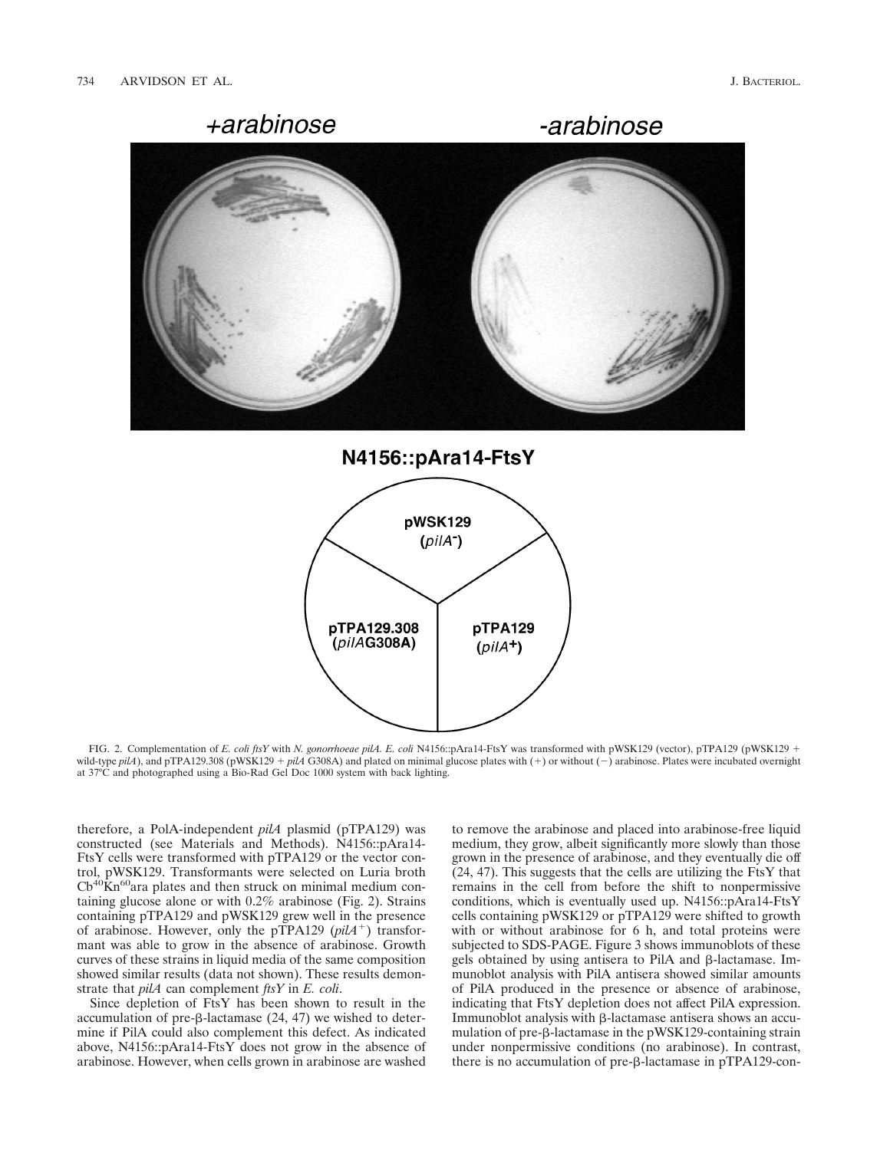

N4156::pAra14-FtsY



FIG. 2. Complementation of *E. coli ftsY* with *N. gonorrhoeae pilA. E. coli* N4156::pAra14-FtsY was transformed with pWSK129 (vector), pTPA129 (pWSK129 1 wild-type  $pilA$ ), and pTPA129.308 (pWSK129 +  $pilA$  G308A) and plated on minimal glucose plates with (+) or without (-) arabinose. Plates were incubated overnight at 37°C and photographed using a Bio-Rad Gel Doc 1000 system with back lighting.

therefore, a PolA-independent *pilA* plasmid (pTPA129) was constructed (see Materials and Methods). N4156::pAra14- FtsY cells were transformed with pTPA129 or the vector control, pWSK129. Transformants were selected on Luria broth  $Cb^{40}\text{Kn}^{60}$  ara plates and then struck on minimal medium containing glucose alone or with 0.2% arabinose (Fig. 2). Strains containing pTPA129 and pWSK129 grew well in the presence of arabinose. However, only the pTPA129 (*pilA*<sup>+</sup>) transformant was able to grow in the absence of arabinose. Growth curves of these strains in liquid media of the same composition showed similar results (data not shown). These results demonstrate that *pilA* can complement *ftsY* in *E. coli*.

Since depletion of FtsY has been shown to result in the accumulation of pre- $\beta$ -lactamase (24, 47) we wished to determine if PilA could also complement this defect. As indicated above, N4156::pAra14-FtsY does not grow in the absence of arabinose. However, when cells grown in arabinose are washed

to remove the arabinose and placed into arabinose-free liquid medium, they grow, albeit significantly more slowly than those grown in the presence of arabinose, and they eventually die off  $(24, 47)$ . This suggests that the cells are utilizing the FtsY that remains in the cell from before the shift to nonpermissive conditions, which is eventually used up. N4156::pAra14-FtsY cells containing pWSK129 or pTPA129 were shifted to growth with or without arabinose for 6 h, and total proteins were subjected to SDS-PAGE. Figure 3 shows immunoblots of these gels obtained by using antisera to PilA and  $\beta$ -lactamase. Immunoblot analysis with PilA antisera showed similar amounts of PilA produced in the presence or absence of arabinose, indicating that FtsY depletion does not affect PilA expression. Immunoblot analysis with  $\beta$ -lactamase antisera shows an accumulation of pre- $\beta$ -lactamase in the pWSK129-containing strain under nonpermissive conditions (no arabinose). In contrast, there is no accumulation of pre-β-lactamase in pTPA129-con-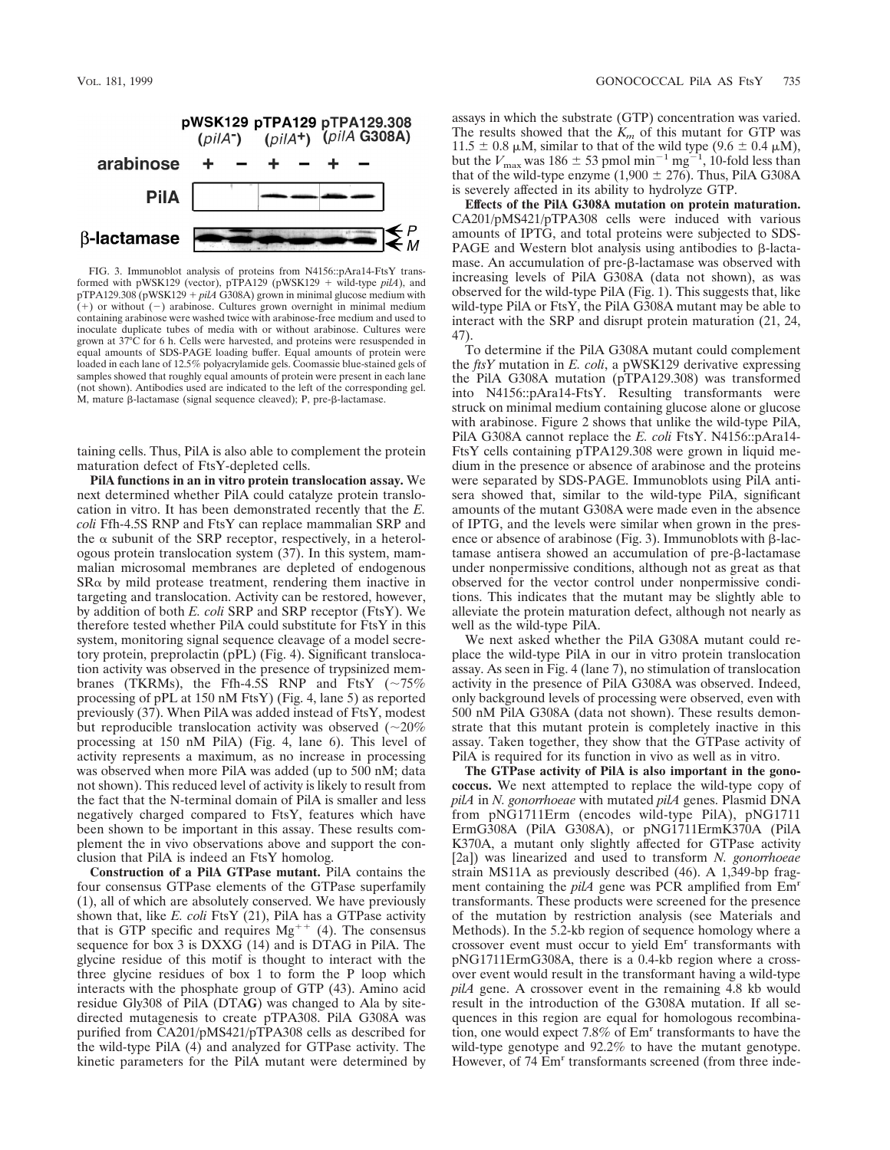

FIG. 3. Immunoblot analysis of proteins from N4156::pAra14-FtsY transformed with pWSK129 (vector), pTPA129 (pWSK129 + wild-type  $pilA$ ), and pTPA129.308 (pWSK129 +  $p\bar{l}A\bar{G}308A$ ) grown in minimal glucose medium with  $(+)$  or without  $(-)$  arabinose. Cultures grown overnight in minimal medium containing arabinose were washed twice with arabinose-free medium and used to inoculate duplicate tubes of media with or without arabinose. Cultures were grown at 37°C for 6 h. Cells were harvested, and proteins were resuspended in equal amounts of SDS-PAGE loading buffer. Equal amounts of protein were loaded in each lane of 12.5% polyacrylamide gels. Coomassie blue-stained gels of samples showed that roughly equal amounts of protein were present in each lane (not shown). Antibodies used are indicated to the left of the corresponding gel. M, mature β-lactamase (signal sequence cleaved); P, pre-β-lactamase.

taining cells. Thus, PilA is also able to complement the protein maturation defect of FtsY-depleted cells.

**PilA functions in an in vitro protein translocation assay.** We next determined whether PilA could catalyze protein translocation in vitro. It has been demonstrated recently that the *E. coli* Ffh-4.5S RNP and FtsY can replace mammalian SRP and the  $\alpha$  subunit of the SRP receptor, respectively, in a heterologous protein translocation system (37). In this system, mammalian microsomal membranes are depleted of endogenous  $S$ R $\alpha$  by mild protease treatment, rendering them inactive in targeting and translocation. Activity can be restored, however, by addition of both *E. coli* SRP and SRP receptor (FtsY). We therefore tested whether PilA could substitute for FtsY in this system, monitoring signal sequence cleavage of a model secretory protein, preprolactin (pPL) (Fig. 4). Significant translocation activity was observed in the presence of trypsinized membranes (TKRMs), the Ffh-4.5S RNP and FtsY  $({\sim}75\%$ processing of pPL at 150 nM FtsY) (Fig. 4, lane 5) as reported previously (37). When PilA was added instead of FtsY, modest but reproducible translocation activity was observed  $(\sim 20\%$ processing at 150 nM PilA) (Fig. 4, lane 6). This level of activity represents a maximum, as no increase in processing was observed when more PilA was added (up to 500 nM; data not shown). This reduced level of activity is likely to result from the fact that the N-terminal domain of PilA is smaller and less negatively charged compared to FtsY, features which have been shown to be important in this assay. These results complement the in vivo observations above and support the conclusion that PilA is indeed an FtsY homolog.

**Construction of a PilA GTPase mutant.** PilA contains the four consensus GTPase elements of the GTPase superfamily (1), all of which are absolutely conserved. We have previously shown that, like *E. coli* FtsY (21), PilA has a GTPase activity that is GTP specific and requires  $Mg^{++}$  (4). The consensus sequence for box 3 is DXXG (14) and is DTAG in PilA. The glycine residue of this motif is thought to interact with the three glycine residues of box 1 to form the P loop which interacts with the phosphate group of GTP (43). Amino acid residue Gly308 of PilA (DTA**G**) was changed to Ala by sitedirected mutagenesis to create pTPA308. PilA G308A was purified from CA201/pMS421/pTPA308 cells as described for the wild-type PilA (4) and analyzed for GTPase activity. The kinetic parameters for the PilA mutant were determined by

assays in which the substrate (GTP) concentration was varied. The results showed that the  $K_m$  of this mutant for GTP was 11.5  $\pm$  0.8  $\mu$ M, similar to that of the wild type (9.6  $\pm$  0.4  $\mu$ M), but the *V*<sub>max</sub> was 186  $\pm$  53 pmol min<sup>-1</sup> mg<sup>-1</sup>, 10-fold less than that of the wild-type enzyme  $(1,900 \pm 276)$ . Thus, PilA G308A is severely affected in its ability to hydrolyze GTP.

**Effects of the PilA G308A mutation on protein maturation.** CA201/pMS421/pTPA308 cells were induced with various amounts of IPTG, and total proteins were subjected to SDS-PAGE and Western blot analysis using antibodies to  $\beta$ -lactamase. An accumulation of pre- $\beta$ -lactamase was observed with increasing levels of PilA G308A (data not shown), as was observed for the wild-type PilA (Fig. 1). This suggests that, like wild-type PilA or FtsY, the PilA G308A mutant may be able to interact with the SRP and disrupt protein maturation (21, 24, 47).

To determine if the PilA G308A mutant could complement the *ftsY* mutation in *E. coli*, a pWSK129 derivative expressing the PilA G308A mutation (pTPA129.308) was transformed into N4156::pAra14-FtsY. Resulting transformants were struck on minimal medium containing glucose alone or glucose with arabinose. Figure 2 shows that unlike the wild-type PilA, PilA G308A cannot replace the *E. coli* FtsY. N4156::pAra14- FtsY cells containing pTPA129.308 were grown in liquid medium in the presence or absence of arabinose and the proteins were separated by SDS-PAGE. Immunoblots using PilA antisera showed that, similar to the wild-type PilA, significant amounts of the mutant G308A were made even in the absence of IPTG, and the levels were similar when grown in the presence or absence of arabinose (Fig. 3). Immunoblots with  $\beta$ -lactamase antisera showed an accumulation of pre-b-lactamase under nonpermissive conditions, although not as great as that observed for the vector control under nonpermissive conditions. This indicates that the mutant may be slightly able to alleviate the protein maturation defect, although not nearly as well as the wild-type PilA.

We next asked whether the PilA G308A mutant could replace the wild-type PilA in our in vitro protein translocation assay. As seen in Fig. 4 (lane 7), no stimulation of translocation activity in the presence of PilA G308A was observed. Indeed, only background levels of processing were observed, even with 500 nM PilA G308A (data not shown). These results demonstrate that this mutant protein is completely inactive in this assay. Taken together, they show that the GTPase activity of PilA is required for its function in vivo as well as in vitro.

**The GTPase activity of PilA is also important in the gonococcus.** We next attempted to replace the wild-type copy of *pilA* in *N. gonorrhoeae* with mutated *pilA* genes. Plasmid DNA from pNG1711Erm (encodes wild-type PilA), pNG1711 ErmG308A (PilA G308A), or pNG1711ErmK370A (PilA K370A, a mutant only slightly affected for GTPase activity [2a]) was linearized and used to transform *N. gonorrhoeae* strain MS11A as previously described (46). A 1,349-bp fragment containing the *pilA* gene was PCR amplified from  $Em<sup>r</sup>$ transformants. These products were screened for the presence of the mutation by restriction analysis (see Materials and Methods). In the 5.2-kb region of sequence homology where a crossover event must occur to yield Emr transformants with pNG1711ErmG308A, there is a 0.4-kb region where a crossover event would result in the transformant having a wild-type *pilA* gene. A crossover event in the remaining 4.8 kb would result in the introduction of the G308A mutation. If all sequences in this region are equal for homologous recombination, one would expect 7.8% of Emr transformants to have the wild-type genotype and 92.2% to have the mutant genotype. However, of 74 Em<sup>r</sup> transformants screened (from three inde-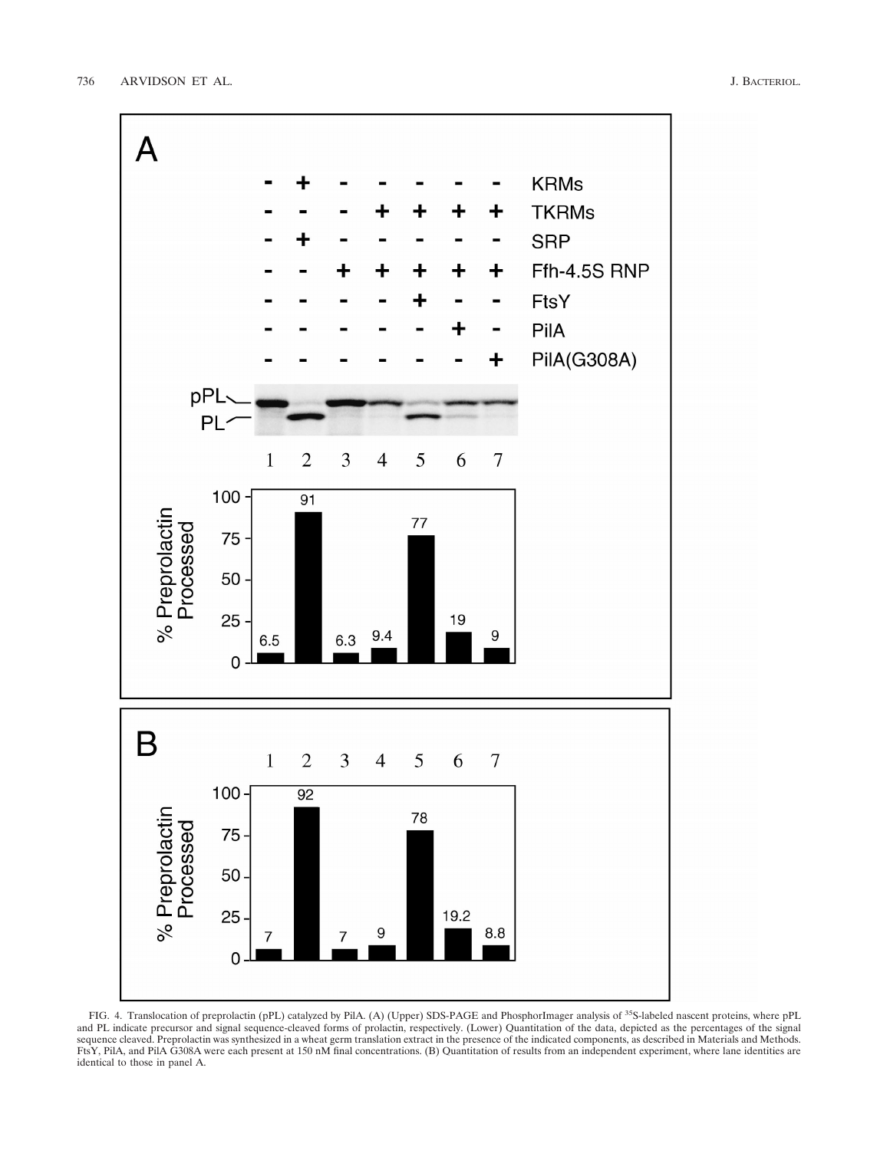

FIG. 4. Translocation of preprolactin (pPL) catalyzed by PilA. (A) (Upper) SDS-PAGE and PhosphorImager analysis of <sup>35</sup>S-labeled nascent proteins, where pPL and PL indicate precursor and signal sequence-cleaved forms of prolactin, respectively. (Lower) Quantitation of the data, depicted as the percentages of the signal sequence cleaved. Preprolactin was synthesized in a wheat germ translation extract in the presence of the indicated components, as described in Materials and Methods. FtsY, PilA, and PilA G308A were each present at 150 nM final concentrations. (B) Quantitation of results from an independent experiment, where lane identities are identical to those in panel A.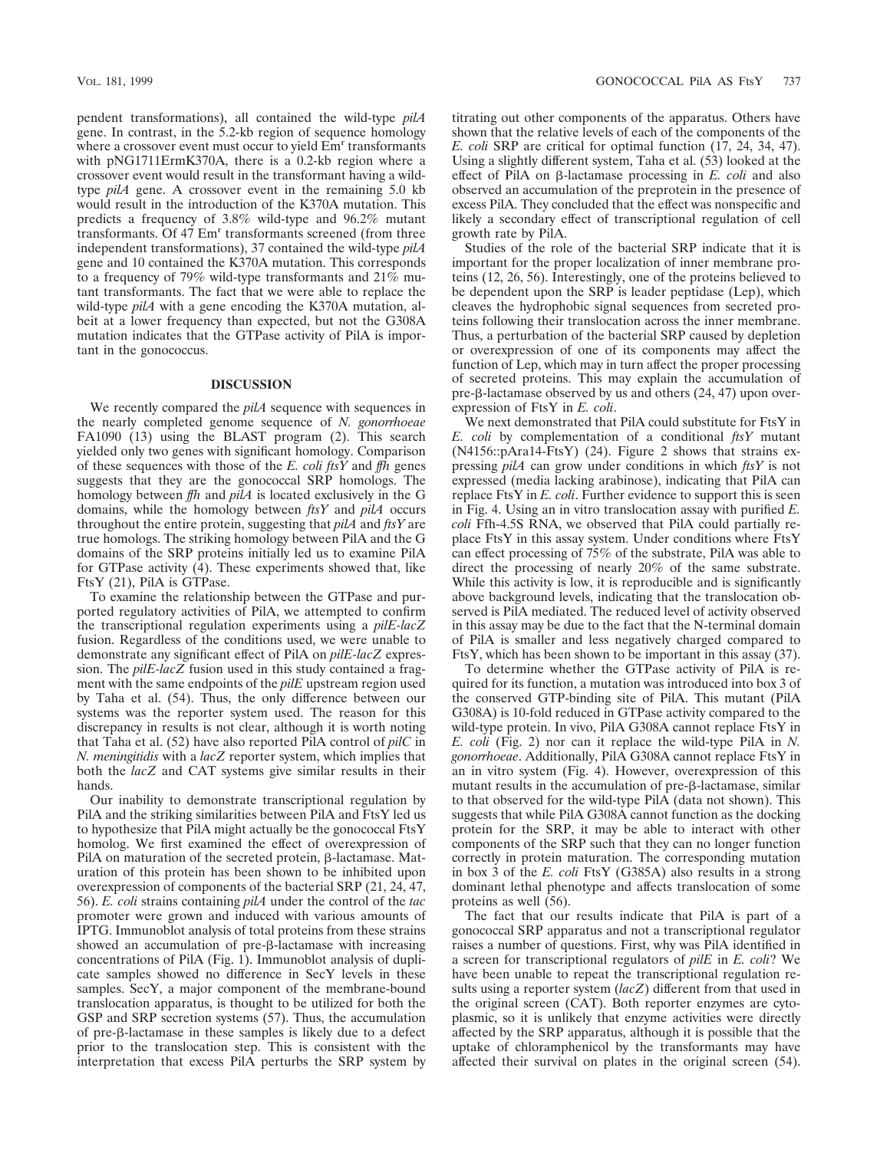pendent transformations), all contained the wild-type *pilA* gene. In contrast, in the 5.2-kb region of sequence homology where a crossover event must occur to yield  $Em<sup>r</sup>$  transformants with pNG1711ErmK370A, there is a 0.2-kb region where a crossover event would result in the transformant having a wildtype *pilA* gene. A crossover event in the remaining 5.0 kb would result in the introduction of the K370A mutation. This predicts a frequency of 3.8% wild-type and 96.2% mutant transformants. Of 47 Em<sup>r</sup> transformants screened (from three independent transformations), 37 contained the wild-type *pilA* gene and 10 contained the K370A mutation. This corresponds to a frequency of 79% wild-type transformants and 21% mutant transformants. The fact that we were able to replace the wild-type *pilA* with a gene encoding the K370A mutation, albeit at a lower frequency than expected, but not the G308A mutation indicates that the GTPase activity of PilA is important in the gonococcus.

#### **DISCUSSION**

We recently compared the *pilA* sequence with sequences in the nearly completed genome sequence of *N. gonorrhoeae* FA1090 (13) using the BLAST program (2). This search yielded only two genes with significant homology. Comparison of these sequences with those of the *E. coli ftsY* and *ffh* genes suggests that they are the gonococcal SRP homologs. The homology between *ffh* and *pilA* is located exclusively in the G domains, while the homology between *ftsY* and *pilA* occurs throughout the entire protein, suggesting that *pilA* and *ftsY* are true homologs. The striking homology between PilA and the G domains of the SRP proteins initially led us to examine PilA for GTPase activity (4). These experiments showed that, like FtsY (21), PilA is GTPase.

To examine the relationship between the GTPase and purported regulatory activities of PilA, we attempted to confirm the transcriptional regulation experiments using a *pilE-lacZ* fusion. Regardless of the conditions used, we were unable to demonstrate any significant effect of PilA on *pilE-lacZ* expression. The *pilE-lacZ* fusion used in this study contained a fragment with the same endpoints of the *pilE* upstream region used by Taha et al. (54). Thus, the only difference between our systems was the reporter system used. The reason for this discrepancy in results is not clear, although it is worth noting that Taha et al. (52) have also reported PilA control of *pilC* in *N. meningitidis* with a *lacZ* reporter system, which implies that both the *lacZ* and CAT systems give similar results in their hands.

Our inability to demonstrate transcriptional regulation by PilA and the striking similarities between PilA and FtsY led us to hypothesize that PilA might actually be the gonococcal FtsY homolog. We first examined the effect of overexpression of PilA on maturation of the secreted protein,  $\beta$ -lactamase. Maturation of this protein has been shown to be inhibited upon overexpression of components of the bacterial SRP (21, 24, 47, 56). *E. coli* strains containing *pilA* under the control of the *tac* promoter were grown and induced with various amounts of IPTG. Immunoblot analysis of total proteins from these strains showed an accumulation of pre- $\beta$ -lactamase with increasing concentrations of PilA (Fig. 1). Immunoblot analysis of duplicate samples showed no difference in SecY levels in these samples. SecY, a major component of the membrane-bound translocation apparatus, is thought to be utilized for both the GSP and SRP secretion systems (57). Thus, the accumulation of pre-b-lactamase in these samples is likely due to a defect prior to the translocation step. This is consistent with the interpretation that excess PilA perturbs the SRP system by titrating out other components of the apparatus. Others have shown that the relative levels of each of the components of the *E. coli* SRP are critical for optimal function (17, 24, 34, 47). Using a slightly different system, Taha et al. (53) looked at the effect of PilA on b-lactamase processing in *E. coli* and also observed an accumulation of the preprotein in the presence of excess PilA. They concluded that the effect was nonspecific and likely a secondary effect of transcriptional regulation of cell growth rate by PilA.

Studies of the role of the bacterial SRP indicate that it is important for the proper localization of inner membrane proteins (12, 26, 56). Interestingly, one of the proteins believed to be dependent upon the SRP is leader peptidase (Lep), which cleaves the hydrophobic signal sequences from secreted proteins following their translocation across the inner membrane. Thus, a perturbation of the bacterial SRP caused by depletion or overexpression of one of its components may affect the function of Lep, which may in turn affect the proper processing of secreted proteins. This may explain the accumulation of pre- $\beta$ -lactamase observed by us and others (24, 47) upon overexpression of FtsY in *E. coli*.

We next demonstrated that PilA could substitute for FtsY in *E. coli* by complementation of a conditional *ftsY* mutant (N4156::pAra14-FtsY) (24). Figure 2 shows that strains expressing *pilA* can grow under conditions in which *ftsY* is not expressed (media lacking arabinose), indicating that PilA can replace FtsY in *E. coli*. Further evidence to support this is seen in Fig. 4. Using an in vitro translocation assay with purified *E. coli* Ffh-4.5S RNA, we observed that PilA could partially replace FtsY in this assay system. Under conditions where FtsY can effect processing of 75% of the substrate, PilA was able to direct the processing of nearly 20% of the same substrate. While this activity is low, it is reproducible and is significantly above background levels, indicating that the translocation observed is PilA mediated. The reduced level of activity observed in this assay may be due to the fact that the N-terminal domain of PilA is smaller and less negatively charged compared to FtsY, which has been shown to be important in this assay (37).

To determine whether the GTPase activity of PilA is required for its function, a mutation was introduced into box 3 of the conserved GTP-binding site of PilA. This mutant (PilA G308A) is 10-fold reduced in GTPase activity compared to the wild-type protein. In vivo, PilA G308A cannot replace FtsY in *E. coli* (Fig. 2) nor can it replace the wild-type PilA in *N. gonorrhoeae*. Additionally, PilA G308A cannot replace FtsY in an in vitro system (Fig. 4). However, overexpression of this mutant results in the accumulation of pre- $\beta$ -lactamase, similar to that observed for the wild-type PilA (data not shown). This suggests that while PilA G308A cannot function as the docking protein for the SRP, it may be able to interact with other components of the SRP such that they can no longer function correctly in protein maturation. The corresponding mutation in box 3 of the *E. coli* FtsY (G385A) also results in a strong dominant lethal phenotype and affects translocation of some proteins as well (56).

The fact that our results indicate that PilA is part of a gonococcal SRP apparatus and not a transcriptional regulator raises a number of questions. First, why was PilA identified in a screen for transcriptional regulators of *pilE* in *E. coli*? We have been unable to repeat the transcriptional regulation results using a reporter system (*lacZ*) different from that used in the original screen (CAT). Both reporter enzymes are cytoplasmic, so it is unlikely that enzyme activities were directly affected by the SRP apparatus, although it is possible that the uptake of chloramphenicol by the transformants may have affected their survival on plates in the original screen (54).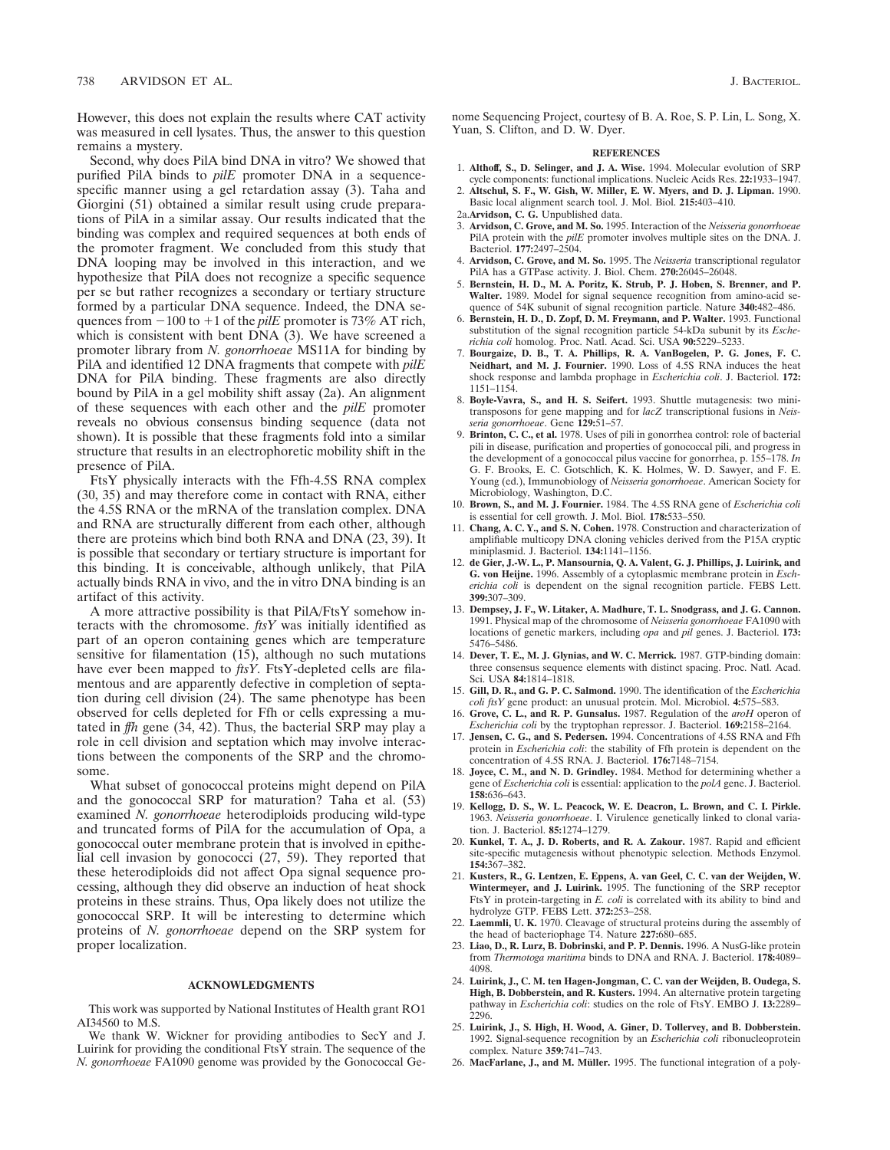However, this does not explain the results where CAT activity was measured in cell lysates. Thus, the answer to this question remains a mystery.

Second, why does PilA bind DNA in vitro? We showed that purified PilA binds to *pilE* promoter DNA in a sequencespecific manner using a gel retardation assay (3). Taha and Giorgini (51) obtained a similar result using crude preparations of PilA in a similar assay. Our results indicated that the binding was complex and required sequences at both ends of the promoter fragment. We concluded from this study that DNA looping may be involved in this interaction, and we hypothesize that PilA does not recognize a specific sequence per se but rather recognizes a secondary or tertiary structure formed by a particular DNA sequence. Indeed, the DNA sequences from  $-100$  to  $+1$  of the *pilE* promoter is 73% AT rich, which is consistent with bent DNA (3). We have screened a promoter library from *N. gonorrhoeae* MS11A for binding by PilA and identified 12 DNA fragments that compete with *pilE* DNA for PilA binding. These fragments are also directly bound by PilA in a gel mobility shift assay (2a). An alignment of these sequences with each other and the *pilE* promoter reveals no obvious consensus binding sequence (data not shown). It is possible that these fragments fold into a similar structure that results in an electrophoretic mobility shift in the presence of PilA.

FtsY physically interacts with the Ffh-4.5S RNA complex (30, 35) and may therefore come in contact with RNA, either the 4.5S RNA or the mRNA of the translation complex. DNA and RNA are structurally different from each other, although there are proteins which bind both RNA and DNA (23, 39). It is possible that secondary or tertiary structure is important for this binding. It is conceivable, although unlikely, that PilA actually binds RNA in vivo, and the in vitro DNA binding is an artifact of this activity.

A more attractive possibility is that PilA/FtsY somehow interacts with the chromosome. *ftsY* was initially identified as part of an operon containing genes which are temperature sensitive for filamentation (15), although no such mutations have ever been mapped to *ftsY*. FtsY-depleted cells are filamentous and are apparently defective in completion of septation during cell division (24). The same phenotype has been observed for cells depleted for Ffh or cells expressing a mutated in *ffh* gene (34, 42). Thus, the bacterial SRP may play a role in cell division and septation which may involve interactions between the components of the SRP and the chromosome.

What subset of gonococcal proteins might depend on PilA and the gonococcal SRP for maturation? Taha et al. (53) examined *N. gonorrhoeae* heterodiploids producing wild-type and truncated forms of PilA for the accumulation of Opa, a gonococcal outer membrane protein that is involved in epithelial cell invasion by gonococci (27, 59). They reported that these heterodiploids did not affect Opa signal sequence processing, although they did observe an induction of heat shock proteins in these strains. Thus, Opa likely does not utilize the gonococcal SRP. It will be interesting to determine which proteins of *N. gonorrhoeae* depend on the SRP system for proper localization.

## **ACKNOWLEDGMENTS**

This work was supported by National Institutes of Health grant RO1 AI34560 to M.S.

We thank W. Wickner for providing antibodies to SecY and J. Luirink for providing the conditional FtsY strain. The sequence of the *N. gonorrhoeae* FA1090 genome was provided by the Gonococcal Genome Sequencing Project, courtesy of B. A. Roe, S. P. Lin, L. Song, X. Yuan, S. Clifton, and D. W. Dyer.

#### **REFERENCES**

- 1. **Althoff, S., D. Selinger, and J. A. Wise.** 1994. Molecular evolution of SRP cycle components: functional implications. Nucleic Acids Res. **22:**1933–1947.
- 2. **Altschul, S. F., W. Gish, W. Miller, E. W. Myers, and D. J. Lipman.** 1990.
- Basic local alignment search tool. J. Mol. Biol. **215:**403–410.
- 2a.**Arvidson, C. G.** Unpublished data.
- 3. **Arvidson, C. Grove, and M. So.** 1995. Interaction of the *Neisseria gonorrhoeae* PilA protein with the *pilE* promoter involves multiple sites on the DNA. J. Bacteriol. **177:**2497–2504.
- 4. **Arvidson, C. Grove, and M. So.** 1995. The *Neisseria* transcriptional regulator PilA has a GTPase activity. J. Biol. Chem. **270:**26045–26048.
- 5. **Bernstein, H. D., M. A. Poritz, K. Strub, P. J. Hoben, S. Brenner, and P. Walter.** 1989. Model for signal sequence recognition from amino-acid sequence of 54K subunit of signal recognition particle. Nature **340:**482–486.
- 6. **Bernstein, H. D., D. Zopf, D. M. Freymann, and P. Walter.** 1993. Functional substitution of the signal recognition particle 54-kDa subunit by its *Escherichia coli* homolog. Proc. Natl. Acad. Sci. USA **90:**5229–5233.
- 7. **Bourgaize, D. B., T. A. Phillips, R. A. VanBogelen, P. G. Jones, F. C. Neidhart, and M. J. Fournier.** 1990. Loss of 4.5S RNA induces the heat shock response and lambda prophage in *Escherichia coli*. J. Bacteriol. **172:** 1151–1154.
- 8. **Boyle-Vavra, S., and H. S. Seifert.** 1993. Shuttle mutagenesis: two minitransposons for gene mapping and for *lacZ* transcriptional fusions in *Neisseria gonorrhoeae*. Gene **129:**51–57.
- 9. **Brinton, C. C., et al.** 1978. Uses of pili in gonorrhea control: role of bacterial pili in disease, purification and properties of gonococcal pili, and progress in the development of a gonococcal pilus vaccine for gonorrhea, p. 155–178. *In* G. F. Brooks, E. C. Gotschlich, K. K. Holmes, W. D. Sawyer, and F. E. Young (ed.), Immunobiology of *Neisseria gonorrhoeae*. American Society for Microbiology, Washington, D.C.
- 10. **Brown, S., and M. J. Fournier.** 1984. The 4.5S RNA gene of *Escherichia coli* is essential for cell growth. J. Mol. Biol. **178:**533–550.
- 11. **Chang, A. C. Y., and S. N. Cohen.** 1978. Construction and characterization of amplifiable multicopy DNA cloning vehicles derived from the P15A cryptic miniplasmid. J. Bacteriol. **134:**1141–1156.
- 12. **de Gier, J.-W. L., P. Mansournia, Q. A. Valent, G. J. Phillips, J. Luirink, and G. von Heijne.** 1996. Assembly of a cytoplasmic membrane protein in *Escherichia coli* is dependent on the signal recognition particle. FEBS Lett. **399:**307–309.
- 13. **Dempsey, J. F., W. Litaker, A. Madhure, T. L. Snodgrass, and J. G. Cannon.** 1991. Physical map of the chromosome of *Neisseria gonorrhoeae* FA1090 with locations of genetic markers, including *opa* and *pil* genes. J. Bacteriol. **173:** 5476–5486.
- 14. **Dever, T. E., M. J. Glynias, and W. C. Merrick.** 1987. GTP-binding domain: three consensus sequence elements with distinct spacing. Proc. Natl. Acad. Sci. USA **84:**1814–1818.
- 15. **Gill, D. R., and G. P. C. Salmond.** 1990. The identification of the *Escherichia coli ftsY* gene product: an unusual protein. Mol. Microbiol. **4:**575–583.
- 16. **Grove, C. L., and R. P. Gunsalus.** 1987. Regulation of the *aroH* operon of *Escherichia coli* by the tryptophan repressor. J. Bacteriol. **169:**2158–2164.
- 17. **Jensen, C. G., and S. Pedersen.** 1994. Concentrations of 4.5S RNA and Ffh protein in *Escherichia coli*: the stability of Ffh protein is dependent on the concentration of 4.5S RNA. J. Bacteriol. **176:**7148–7154.
- 18. **Joyce, C. M., and N. D. Grindley.** 1984. Method for determining whether a gene of *Escherichia coli* is essential: application to the *polA* gene. J. Bacteriol. **158:**636–643.
- 19. **Kellogg, D. S., W. L. Peacock, W. E. Deacron, L. Brown, and C. I. Pirkle.** 1963. *Neisseria gonorrhoeae*. I. Virulence genetically linked to clonal variation. J. Bacteriol. **85:**1274–1279.
- 20. **Kunkel, T. A., J. D. Roberts, and R. A. Zakour.** 1987. Rapid and efficient site-specific mutagenesis without phenotypic selection. Methods Enzymol. **154:**367–382.
- 21. **Kusters, R., G. Lentzen, E. Eppens, A. van Geel, C. C. van der Weijden, W. Wintermeyer, and J. Luirink.** 1995. The functioning of the SRP receptor FtsY in protein-targeting in *E. coli* is correlated with its ability to bind and hydrolyze GTP. FEBS Lett. **372:**253–258.
- 22. **Laemmli, U. K.** 1970. Cleavage of structural proteins during the assembly of the head of bacteriophage T4. Nature **227:**680–685.
- 23. **Liao, D., R. Lurz, B. Dobrinski, and P. P. Dennis.** 1996. A NusG-like protein from *Thermotoga maritima* binds to DNA and RNA. J. Bacteriol. **178:**4089– 4098.
- 24. **Luirink, J., C. M. ten Hagen-Jongman, C. C. van der Weijden, B. Oudega, S. High, B. Dobberstein, and R. Kusters.** 1994. An alternative protein targeting pathway in *Escherichia coli*: studies on the role of FtsY. EMBO J. **13:**2289– 2296.
- 25. **Luirink, J., S. High, H. Wood, A. Giner, D. Tollervey, and B. Dobberstein.** 1992. Signal-sequence recognition by an *Escherichia coli* ribonucleoprotein complex. Nature **359:**741–743.
- 26. MacFarlane, J., and M. Müller. 1995. The functional integration of a poly-